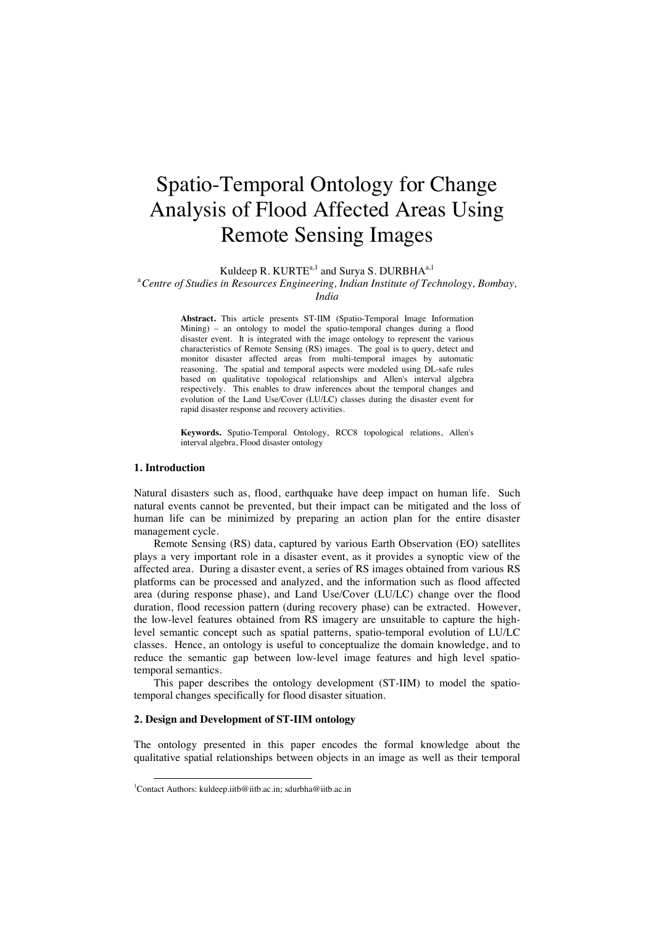# Spatio-Temporal Ontology for Change Analysis of Flood Affected Areas Using Remote Sensing Images

Kuldeep R. KURTE<sup>a,1</sup> and Surya S. DURBHA<sup>a,1</sup>

<sup>a</sup> Centre of Studies in Resources Engineering, Indian Institute of Technology, Bombay,

**Abstract.** This article presents ST-IIM (Spatio-Temporal Image Information Mining) – an ontology to model the spatio-temporal changes during a flood disaster event. It is integrated with the image ontology to represent the various characteristics of Remote Sensing (RS) images. The goal is to query, detect and monitor disaster affected areas from multi-temporal images by automatic reasoning. The spatial and temporal aspects were modeled using DL-safe rules based on qualitative topological relationships and Allen's interval algebra respectively. This enables to draw inferences about the temporal changes and evolution of the Land Use/Cover (LU/LC) classes during the disaster event for rapid disaster response and recovery activities.

**Keywords.** Spatio-Temporal Ontology, RCC8 topological relations, Allen's interval algebra, Flood disaster ontology

## **1. Introduction**

Natural disasters such as, flood, earthquake have deep impact on human life. Such natural events cannot be prevented, but their impact can be mitigated and the loss of human life can be minimized by preparing an action plan for the entire disaster management cycle.

Remote Sensing (RS) data, captured by various Earth Observation (EO) satellites plays a very important role in a disaster event, as it provides a synoptic view of the affected area. During a disaster event, a series of RS images obtained from various RS platforms can be processed and analyzed, and the information such as flood affected area (during response phase), and Land Use/Cover (LU/LC) change over the flood duration, flood recession pattern (during recovery phase) can be extracted. However, the low-level features obtained from RS imagery are unsuitable to capture the highlevel semantic concept such as spatial patterns, spatio-temporal evolution of LU/LC classes. Hence, an ontology is useful to conceptualize the domain knowledge, and to reduce the semantic gap between low-level image features and high level spatiotemporal semantics.

This paper describes the ontology development (ST-IIM) to model the spatiotemporal changes specifically for flood disaster situation.

### **2. Design and Development of ST-IIM ontology**

The ontology presented in this paper encodes the formal knowledge about the qualitative spatial relationships between objects in an image as well as their temporal

*India* 

<sup>&</sup>lt;sup>1</sup>Contact Authors: kuldeep.iitb@iitb.ac.in; sdurbha@iitb.ac.in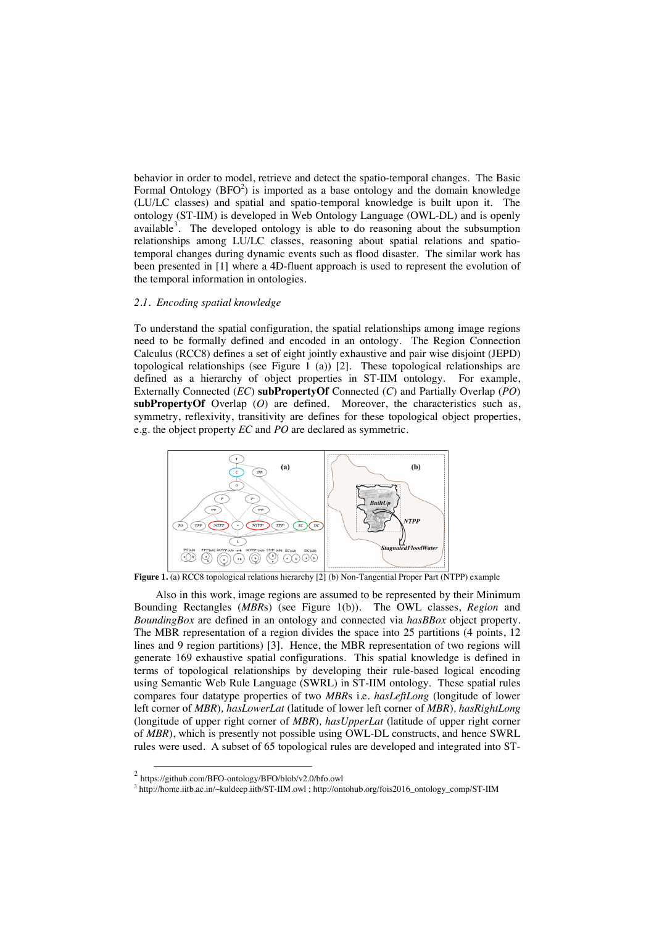behavior in order to model, retrieve and detect the spatio-temporal changes. The Basic Formal Ontology  $(BFO<sup>2</sup>)$  is imported as a base ontology and the domain knowledge (LU/LC classes) and spatial and spatio-temporal knowledge is built upon it. The ontology (ST-IIM) is developed in Web Ontology Language (OWL-DL) and is openly available<sup>3</sup>. The developed ontology is able to do reasoning about the subsumption relationships among LU/LC classes, reasoning about spatial relations and spatiotemporal changes during dynamic events such as flood disaster. The similar work has been presented in [1] where a 4D-fluent approach is used to represent the evolution of the temporal information in ontologies.

### *2.1. Encoding spatial knowledge*

To understand the spatial configuration, the spatial relationships among image regions need to be formally defined and encoded in an ontology. The Region Connection Calculus (RCC8) defines a set of eight jointly exhaustive and pair wise disjoint (JEPD) topological relationships (see Figure 1 (a)) [2]. These topological relationships are defined as a hierarchy of object properties in ST-IIM ontology. For example, Externally Connected (*EC*) **subPropertyOf** Connected (*C*) and Partially Overlap (*PO*) **subPropertyOf** Overlap (*O*) are defined. Moreover, the characteristics such as, symmetry, reflexivity, transitivity are defines for these topological object properties, e.g. the object property *EC* and *PO* are declared as symmetric.



**Figure 1.** (a) RCC8 topological relations hierarchy [2] (b) Non-Tangential Proper Part (NTPP) example

Also in this work, image regions are assumed to be represented by their Minimum Bounding Rectangles (*MBR*s) (see Figure 1(b)). The OWL classes, *Region* and *BoundingBox* are defined in an ontology and connected via *hasBBox* object property. The MBR representation of a region divides the space into 25 partitions (4 points, 12 lines and 9 region partitions) [3]. Hence, the MBR representation of two regions will generate 169 exhaustive spatial configurations. This spatial knowledge is defined in terms of topological relationships by developing their rule-based logical encoding using Semantic Web Rule Language (SWRL) in ST-IIM ontology. These spatial rules compares four datatype properties of two *MBR*s i.e. *hasLeftLong* (longitude of lower left corner of *MBR*)*, hasLowerLat* (latitude of lower left corner of *MBR*)*, hasRightLong*  (longitude of upper right corner of *MBR*)*, hasUpperLat* (latitude of upper right corner of *MBR*), which is presently not possible using OWL-DL constructs, and hence SWRL rules were used. A subset of 65 topological rules are developed and integrated into ST-

 <sup>2</sup> https://github.com/BFO-ontology/BFO/blob/v2.0/bfo.owl

<sup>&</sup>lt;sup>3</sup> http://home.iitb.ac.in/~kuldeep.iitb/ST-IIM.owl ; http://ontohub.org/fois2016\_ontology\_comp/ST-IIM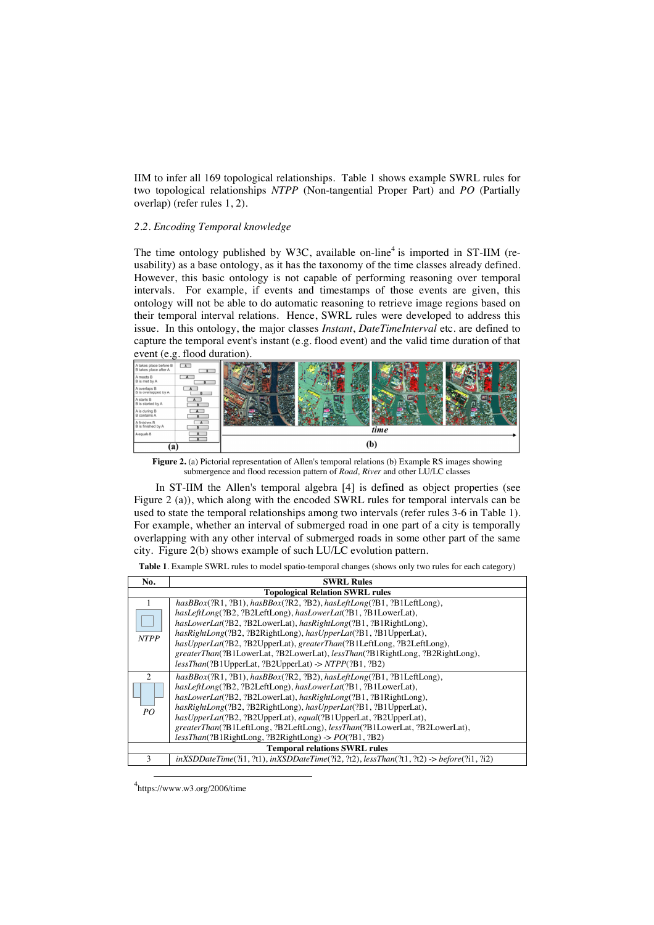IIM to infer all 169 topological relationships. Table 1 shows example SWRL rules for two topological relationships *NTPP* (Non-tangential Proper Part) and *PO* (Partially overlap) (refer rules 1, 2).

## *2.2. Encoding Temporal knowledge*

The time ontology published by W3C, available on-line<sup>4</sup> is imported in ST-IIM (reusability) as a base ontology, as it has the taxonomy of the time classes already defined. However, this basic ontology is not capable of performing reasoning over temporal intervals. For example, if events and timestamps of those events are given, this ontology will not be able to do automatic reasoning to retrieve image regions based on their temporal interval relations. Hence, SWRL rules were developed to address this issue. In this ontology, the major classes *Instant*, *DateTimeInterval* etc. are defined to capture the temporal event's instant (e.g. flood event) and the valid time duration of that event (e.g. flood duration).



**Figure 2.** (a) Pictorial representation of Allen's temporal relations (b) Example RS images showing submergence and flood recession pattern of *Road, River* and other LU/LC classes

In ST-IIM the Allen's temporal algebra [4] is defined as object properties (see Figure 2 (a)), which along with the encoded SWRL rules for temporal intervals can be used to state the temporal relationships among two intervals (refer rules 3-6 in Table 1). For example, whether an interval of submerged road in one part of a city is temporally overlapping with any other interval of submerged roads in some other part of the same city. Figure 2(b) shows example of such LU/LC evolution pattern.

| Table 1. Example SWRL rules to model spatio-temporal changes (shows only two rules for each category) |  |  |  |
|-------------------------------------------------------------------------------------------------------|--|--|--|
|-------------------------------------------------------------------------------------------------------|--|--|--|

| No.                                    | <b>SWRL Rules</b>                                                                                    |  |
|----------------------------------------|------------------------------------------------------------------------------------------------------|--|
| <b>Topological Relation SWRL rules</b> |                                                                                                      |  |
|                                        | $has BBox(?R1, ?B1), has BBox(?R2, ?B2), has LeftLong(?B1, ?B1LeftLong),$                            |  |
| <b>NTPP</b>                            | hasLeftLong(?B2, ?B2LeftLong), hasLowerLat(?B1, ?B1LowerLat),                                        |  |
|                                        | hasLowerLat(?B2, ?B2LowerLat), hasRightLong(?B1, ?B1RightLong),                                      |  |
|                                        | hasRightLong(?B2, ?B2RightLong), hasUpperLat(?B1, ?B1UpperLat),                                      |  |
|                                        | hasUpperLat(?B2, ?B2UpperLat), greaterThan(?B1LeftLong, ?B2LeftLong),                                |  |
|                                        | greaterThan(?B1LowerLat, ?B2LowerLat), lessThan(?B1RightLong, ?B2RightLong),                         |  |
|                                        | $less Than(?B1UpperLat, ?B2UpperLat) \rightarrow NTPP(?B1, ?B2)$                                     |  |
| $\mathcal{D}_{\mathcal{L}}$            | $has BBox(?R1, ?B1), has BBox(?R2, ?B2), has LeftLong(?B1, ?B1LeftLong),$                            |  |
| PO.                                    | hasLeftLong(?B2, ?B2LeftLong), hasLowerLat(?B1, ?B1LowerLat),                                        |  |
|                                        | hasLowerLat(?B2, ?B2LowerLat), hasRightLong(?B1, ?B1RightLong),                                      |  |
|                                        | hasRightLong(?B2, ?B2RightLong), hasUpperLat(?B1, ?B1UpperLat),                                      |  |
|                                        | hasUpperLat(?B2, ?B2UpperLat), equal(?B1UpperLat, ?B2UpperLat),                                      |  |
|                                        | greaterThan(?B1LeftLong, ?B2LeftLong), lessThan(?B1LowerLat, ?B2LowerLat),                           |  |
|                                        | lessThan(?B1RightLong, ?B2RightLong) -> PO(?B1, ?B2)                                                 |  |
| <b>Temporal relations SWRL rules</b>   |                                                                                                      |  |
| 3                                      | $inXSDDateTime(211, 2t1), inXSDDateTime(212, 2t2), less Than(2t1, 2t2) \rightarrow before(2t1, 2t2)$ |  |

4 https://www.w3.org/2006/time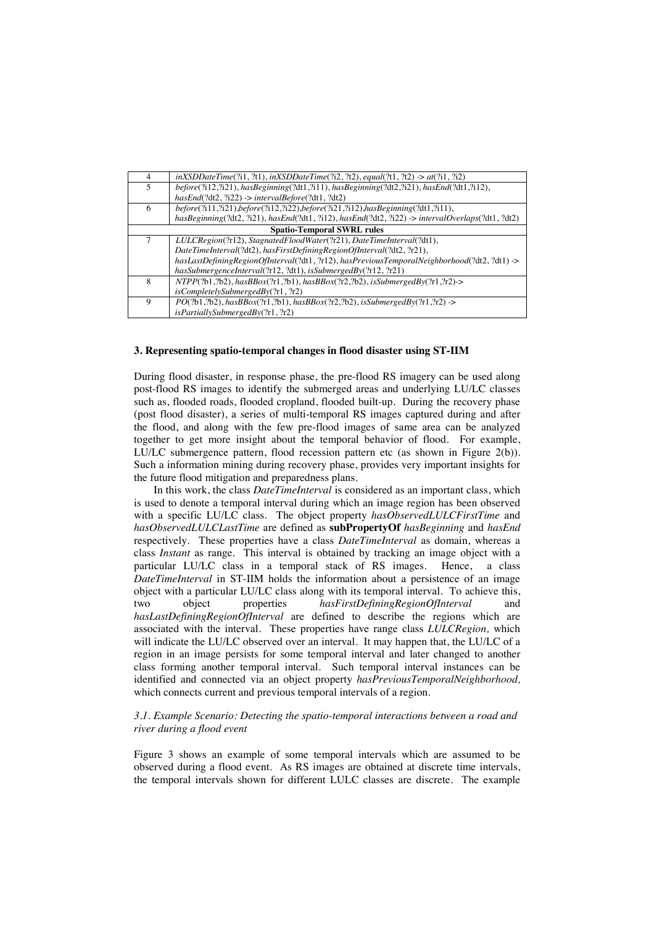| 4                                 | $inXSDDateTime(2i1, 2t1), inXSDDateTime(2i2, 2t2), equal(2t1, 2t2) > at(2i1, 2i2)$               |  |
|-----------------------------------|--------------------------------------------------------------------------------------------------|--|
| 5                                 | before(?i12,?i21), hasBeginning(?dt1,?i11), hasBeginning(?dt2,?i21), hasEnd(?dt1,?i12),          |  |
|                                   | $hasEnd(?dt2, ?i22) \rightarrow intervalBefore(?dt1, ?dt2)$                                      |  |
| 6                                 | before(?i11,?i21),before(?i12,?i22),before(?i21,?i12),hasBeginning(?dt1,?i11),                   |  |
|                                   | hasBeginning(?dt2, ?i21), hasEnd(?dt1, ?i12), hasEnd(?dt2, ?i22) -> intervalOverlaps(?dt1, ?dt2) |  |
| <b>Spatio-Temporal SWRL rules</b> |                                                                                                  |  |
|                                   | LULCRegion(?r12), StagnatedFloodWater(?r21), DateTimeInterval(?dt1),                             |  |
|                                   | DateTimeInterval(?dt2), hasFirstDefiningRegionOfInterval(?dt2, ?r21),                            |  |
|                                   | $has LastDefining RegionOfInterval(2dt1, ?r12), has Previous Temporal Neighbourhood(2dt2, ?dt1)$ |  |
|                                   | hasSubmergenceInterval(?r12, ?dt1), isSubmergedBy(?r12, ?r21)                                    |  |
| 8                                 | $NTPP(2b1,2b2), hasBox(2r1,2b1), hasBBox(2r2,2b2), is SubmergedBy(2r1,2r2)$                      |  |
|                                   | isCompletelySubmergedBy(?r1, ?r2)                                                                |  |
| 9                                 | $PO(2b1,2b2), hasBBox(2r1,2b1), hasBBox(2r2,2b2), is SubmergedBy(2r1,2r2)$                       |  |
|                                   | isPartiallySubmergedBy(?r1, ?r2)                                                                 |  |

### **3. Representing spatio-temporal changes in flood disaster using ST-IIM**

During flood disaster, in response phase, the pre-flood RS imagery can be used along post-flood RS images to identify the submerged areas and underlying LU/LC classes such as, flooded roads, flooded cropland, flooded built-up. During the recovery phase (post flood disaster), a series of multi-temporal RS images captured during and after the flood, and along with the few pre-flood images of same area can be analyzed together to get more insight about the temporal behavior of flood. For example, LU/LC submergence pattern, flood recession pattern etc (as shown in Figure 2(b)). Such a information mining during recovery phase, provides very important insights for the future flood mitigation and preparedness plans.

In this work, the class *DateTimeInterval* is considered as an important class, which is used to denote a temporal interval during which an image region has been observed with a specific LU/LC class. The object property *hasObservedLULCFirstTime* and *hasObservedLULCLastTime* are defined as **subPropertyOf** *hasBeginning* and *hasEnd*  respectively. These properties have a class *DateTimeInterval* as domain, whereas a class *Instant* as range. This interval is obtained by tracking an image object with a particular LU/LC class in a temporal stack of RS images. Hence, a class *DateTimeInterval* in ST-IIM holds the information about a persistence of an image object with a particular LU/LC class along with its temporal interval. To achieve this, two object properties *hasFirstDefiningRegionOfInterval* and *hasLastDefiningRegionOfInterval* are defined to describe the regions which are associated with the interval. These properties have range class *LULCRegion,* which will indicate the LU/LC observed over an interval. It may happen that, the LU/LC of a region in an image persists for some temporal interval and later changed to another class forming another temporal interval. Such temporal interval instances can be identified and connected via an object property *hasPreviousTemporalNeighborhood,*  which connects current and previous temporal intervals of a region.

## *3.1. Example Scenario: Detecting the spatio-temporal interactions between a road and river during a flood event*

Figure 3 shows an example of some temporal intervals which are assumed to be observed during a flood event. As RS images are obtained at discrete time intervals, the temporal intervals shown for different LULC classes are discrete. The example